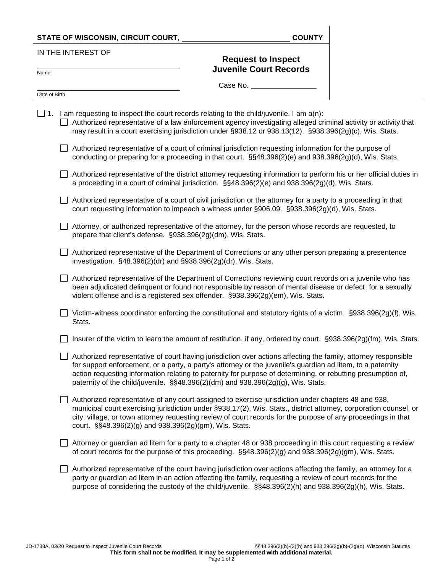|                    | STATE OF WISCONSIN, CIRCUIT COURT,                              | <b>COUNTY</b>                                                                                                                                                                                                                                                                                                                                                                                                                     |  |
|--------------------|-----------------------------------------------------------------|-----------------------------------------------------------------------------------------------------------------------------------------------------------------------------------------------------------------------------------------------------------------------------------------------------------------------------------------------------------------------------------------------------------------------------------|--|
| IN THE INTEREST OF |                                                                 | <b>Request to Inspect</b>                                                                                                                                                                                                                                                                                                                                                                                                         |  |
| Name               |                                                                 | <b>Juvenile Court Records</b>                                                                                                                                                                                                                                                                                                                                                                                                     |  |
| Date of Birth      |                                                                 | Case No.                                                                                                                                                                                                                                                                                                                                                                                                                          |  |
|                    |                                                                 |                                                                                                                                                                                                                                                                                                                                                                                                                                   |  |
|                    |                                                                 | 1. I am requesting to inspect the court records relating to the child/juvenile. I am $a(n)$ :<br>Authorized representative of a law enforcement agency investigating alleged criminal activity or activity that<br>may result in a court exercising jurisdiction under §938.12 or 938.13(12). §938.396(2g)(c), Wis. Stats.                                                                                                        |  |
|                    |                                                                 | Authorized representative of a court of criminal jurisdiction requesting information for the purpose of<br>conducting or preparing for a proceeding in that court. §§48.396(2)(e) and 938.396(2g)(d), Wis. Stats.                                                                                                                                                                                                                 |  |
|                    |                                                                 | Authorized representative of the district attorney requesting information to perform his or her official duties in<br>a proceeding in a court of criminal jurisdiction. §§48.396(2)(e) and 938.396(2g)(d), Wis. Stats.                                                                                                                                                                                                            |  |
|                    |                                                                 | Authorized representative of a court of civil jurisdiction or the attorney for a party to a proceeding in that<br>court requesting information to impeach a witness under §906.09. §938.396(2g)(d), Wis. Stats.                                                                                                                                                                                                                   |  |
|                    | prepare that client's defense. §938.396(2g)(dm), Wis. Stats.    | Attorney, or authorized representative of the attorney, for the person whose records are requested, to                                                                                                                                                                                                                                                                                                                            |  |
|                    | investigation. §48.396(2)(dr) and §938.396(2g)(dr), Wis. Stats. | Authorized representative of the Department of Corrections or any other person preparing a presentence                                                                                                                                                                                                                                                                                                                            |  |
|                    |                                                                 | Authorized representative of the Department of Corrections reviewing court records on a juvenile who has<br>been adjudicated delinquent or found not responsible by reason of mental disease or defect, for a sexually<br>violent offense and is a registered sex offender. §938.396(2g)(em), Wis. Stats.                                                                                                                         |  |
|                    | Stats.                                                          | Victim-witness coordinator enforcing the constitutional and statutory rights of a victim. §938.396(2g)(f), Wis.                                                                                                                                                                                                                                                                                                                   |  |
|                    |                                                                 | Insurer of the victim to learn the amount of restitution, if any, ordered by court. §938.396(2g)(fm), Wis. Stats.                                                                                                                                                                                                                                                                                                                 |  |
|                    |                                                                 | Authorized representative of court having jurisdiction over actions affecting the family, attorney responsible<br>for support enforcement, or a party, a party's attorney or the juvenile's guardian ad litem, to a paternity<br>action requesting information relating to paternity for purpose of determining, or rebutting presumption of,<br>paternity of the child/juvenile. §§48.396(2)(dm) and 938.396(2g)(g), Wis. Stats. |  |
|                    | court. §§48.396(2)(g) and 938.396(2g)(gm), Wis. Stats.          | Authorized representative of any court assigned to exercise jurisdiction under chapters 48 and 938,<br>municipal court exercising jurisdiction under §938.17(2), Wis. Stats., district attorney, corporation counsel, or<br>city, village, or town attorney requesting review of court records for the purpose of any proceedings in that                                                                                         |  |
|                    |                                                                 | Attorney or guardian ad litem for a party to a chapter 48 or 938 proceeding in this court requesting a review<br>of court records for the purpose of this proceeding. §§48.396(2)(g) and 938.396(2g)(gm), Wis. Stats.                                                                                                                                                                                                             |  |
|                    |                                                                 | d seguenentative et the nouse having insighiers ever entimentation etterior the foreily                                                                                                                                                                                                                                                                                                                                           |  |

 $\Box$  Authorized representative of the court having jurisdiction over actions affecting the family, an attorney for a party or guardian ad litem in an action affecting the family, requesting a review of court records for the purpose of considering the custody of the child/juvenile. §§48.396(2)(h) and 938.396(2g)(h), Wis. Stats.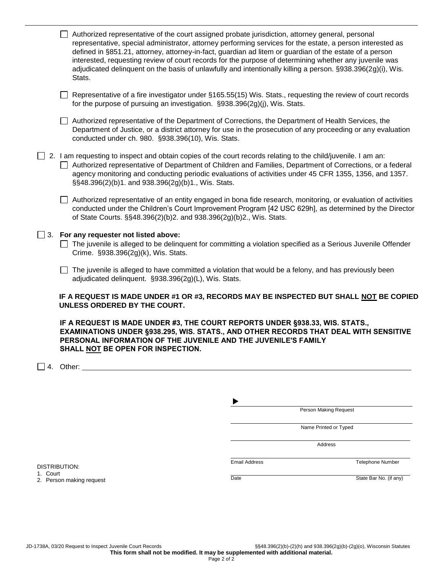|                     | Authorized representative of the court assigned probate jurisdiction, attorney general, personal<br>representative, special administrator, attorney performing services for the estate, a person interested as<br>defined in §851.21, attorney, attorney-in-fact, guardian ad litem or guardian of the estate of a person<br>interested, requesting review of court records for the purpose of determining whether any juvenile was<br>adjudicated delinquent on the basis of unlawfully and intentionally killing a person. §938.396(2g)(i), Wis.<br>Stats. |                      |                       |                         |
|---------------------|--------------------------------------------------------------------------------------------------------------------------------------------------------------------------------------------------------------------------------------------------------------------------------------------------------------------------------------------------------------------------------------------------------------------------------------------------------------------------------------------------------------------------------------------------------------|----------------------|-----------------------|-------------------------|
|                     | Representative of a fire investigator under §165.55(15) Wis. Stats., requesting the review of court records<br>for the purpose of pursuing an investigation. §938.396(2g)(j), Wis. Stats.                                                                                                                                                                                                                                                                                                                                                                    |                      |                       |                         |
|                     | Authorized representative of the Department of Corrections, the Department of Health Services, the<br>Department of Justice, or a district attorney for use in the prosecution of any proceeding or any evaluation<br>conducted under ch. 980. §938.396(10), Wis. Stats.                                                                                                                                                                                                                                                                                     |                      |                       |                         |
|                     | $\Box$ 2. I am requesting to inspect and obtain copies of the court records relating to the child/juvenile. I am an:<br>Authorized representative of Department of Children and Families, Department of Corrections, or a federal<br>agency monitoring and conducting periodic evaluations of activities under 45 CFR 1355, 1356, and 1357.<br>§§48.396(2)(b)1. and 938.396(2g)(b)1., Wis. Stats.                                                                                                                                                            |                      |                       |                         |
|                     | Authorized representative of an entity engaged in bona fide research, monitoring, or evaluation of activities<br>conducted under the Children's Court Improvement Program [42 USC 629h], as determined by the Director<br>of State Courts. §§48.396(2)(b)2. and 938.396(2g)(b)2., Wis. Stats.                                                                                                                                                                                                                                                                |                      |                       |                         |
|                     | $\Box$ 3. For any requester not listed above:<br>The juvenile is alleged to be delinquent for committing a violation specified as a Serious Juvenile Offender<br>Crime. §938.396(2g)(k), Wis. Stats.                                                                                                                                                                                                                                                                                                                                                         |                      |                       |                         |
|                     | The juvenile is alleged to have committed a violation that would be a felony, and has previously been<br>adjudicated delinquent. §938.396(2g)(L), Wis. Stats.                                                                                                                                                                                                                                                                                                                                                                                                |                      |                       |                         |
|                     | IF A REQUEST IS MADE UNDER #1 OR #3, RECORDS MAY BE INSPECTED BUT SHALL NOT BE COPIED<br>UNLESS ORDERED BY THE COURT.                                                                                                                                                                                                                                                                                                                                                                                                                                        |                      |                       |                         |
|                     | IF A REQUEST IS MADE UNDER #3, THE COURT REPORTS UNDER §938.33, WIS. STATS.,<br>EXAMINATIONS UNDER §938.295, WIS. STATS., AND OTHER RECORDS THAT DEAL WITH SENSITIVE<br>PERSONAL INFORMATION OF THE JUVENILE AND THE JUVENILE'S FAMILY<br>SHALL <u>NOT</u> BE OPEN FOR INSPECTION.                                                                                                                                                                                                                                                                           |                      |                       |                         |
| $\vert$ 14.         | Other: the contract of the contract of the contract of the contract of the contract of the contract of the contract of the contract of the contract of the contract of the contract of the contract of the contract of the con                                                                                                                                                                                                                                                                                                                               |                      |                       |                         |
|                     |                                                                                                                                                                                                                                                                                                                                                                                                                                                                                                                                                              |                      |                       |                         |
|                     |                                                                                                                                                                                                                                                                                                                                                                                                                                                                                                                                                              |                      | Person Making Request |                         |
|                     |                                                                                                                                                                                                                                                                                                                                                                                                                                                                                                                                                              |                      | Name Printed or Typed |                         |
|                     |                                                                                                                                                                                                                                                                                                                                                                                                                                                                                                                                                              |                      |                       |                         |
|                     |                                                                                                                                                                                                                                                                                                                                                                                                                                                                                                                                                              |                      | Address               |                         |
| <b>DICTDIDITION</b> |                                                                                                                                                                                                                                                                                                                                                                                                                                                                                                                                                              | <b>Email Address</b> |                       | <b>Telephone Number</b> |

DISTRIBUTION: 1. Court

2. Person making request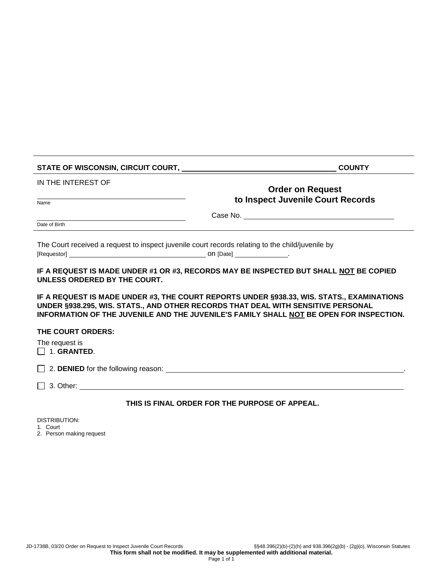| STATE OF WISCONSIN, CIRCUIT COURT, NAMEL AND RESERVE TO A RESERVE THE RESERVE TO A RESERVE THE RESERVE THAT A STRIKE THE RESERVE THAT A STRIKE THAT A STRIKE THAT A STRIKE THAT A STRIKE THAT A STRIKE THAT A STRIKE THAT A ST                                           | <b>COUNTY</b>                                  |  |
|--------------------------------------------------------------------------------------------------------------------------------------------------------------------------------------------------------------------------------------------------------------------------|------------------------------------------------|--|
| IN THE INTEREST OF                                                                                                                                                                                                                                                       | <b>Order on Request</b>                        |  |
| Name                                                                                                                                                                                                                                                                     | to Inspect Juvenile Court Records              |  |
|                                                                                                                                                                                                                                                                          |                                                |  |
| Date of Birth                                                                                                                                                                                                                                                            |                                                |  |
| The Court received a request to inspect juvenile court records relating to the child/juvenile by                                                                                                                                                                         |                                                |  |
| IF A REQUEST IS MADE UNDER #1 OR #3, RECORDS MAY BE INSPECTED BUT SHALL NOT BE COPIED<br>UNLESS ORDERED BY THE COURT.                                                                                                                                                    |                                                |  |
| IF A REQUEST IS MADE UNDER #3, THE COURT REPORTS UNDER §938.33, WIS. STATS., EXAMINATIONS<br>UNDER §938.295, WIS. STATS., AND OTHER RECORDS THAT DEAL WITH SENSITIVE PERSONAL<br>INFORMATION OF THE JUVENILE AND THE JUVENILE'S FAMILY SHALL NOT BE OPEN FOR INSPECTION. |                                                |  |
| THE COURT ORDERS:                                                                                                                                                                                                                                                        |                                                |  |
| The request is<br>$\Box$ 1. GRANTED.                                                                                                                                                                                                                                     |                                                |  |
|                                                                                                                                                                                                                                                                          |                                                |  |
|                                                                                                                                                                                                                                                                          |                                                |  |
|                                                                                                                                                                                                                                                                          | THIS IS FINAL ORDER FOR THE PURPOSE OF APPEAL. |  |

DISTRIBUTION:

1. Court

2. Person making request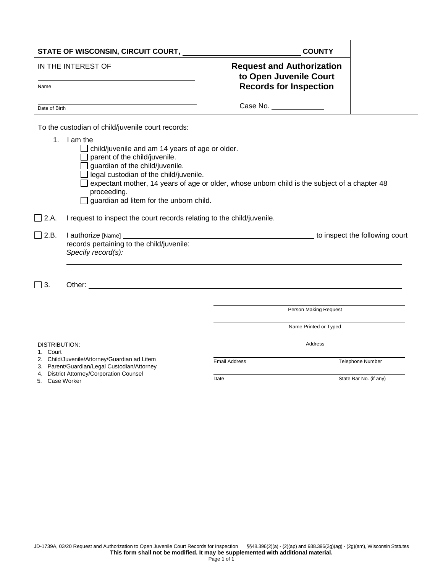| STATE OF WISCONSIN, CIRCUIT COURT, ___                                                                                                                                                        |                                                                                                                                                                                                                                                                                                                                                |                                                                                             | <b>COUNTY</b>         |                         |
|-----------------------------------------------------------------------------------------------------------------------------------------------------------------------------------------------|------------------------------------------------------------------------------------------------------------------------------------------------------------------------------------------------------------------------------------------------------------------------------------------------------------------------------------------------|---------------------------------------------------------------------------------------------|-----------------------|-------------------------|
| IN THE INTEREST OF<br>Name                                                                                                                                                                    |                                                                                                                                                                                                                                                                                                                                                | <b>Request and Authorization</b><br>to Open Juvenile Court<br><b>Records for Inspection</b> |                       |                         |
|                                                                                                                                                                                               |                                                                                                                                                                                                                                                                                                                                                |                                                                                             |                       |                         |
| Date of Birth                                                                                                                                                                                 |                                                                                                                                                                                                                                                                                                                                                |                                                                                             | Case No.              |                         |
|                                                                                                                                                                                               | To the custodian of child/juvenile court records:                                                                                                                                                                                                                                                                                              |                                                                                             |                       |                         |
|                                                                                                                                                                                               | 1. I am the<br>child/juvenile and am 14 years of age or older.<br>parent of the child/juvenile.<br>guardian of the child/juvenile.<br>$\Box$ legal custodian of the child/juvenile.<br>expectant mother, 14 years of age or older, whose unborn child is the subject of a chapter 48<br>proceeding.<br>guardian ad litem for the unborn child. |                                                                                             |                       |                         |
| $\Box$ 2.A.                                                                                                                                                                                   | I request to inspect the court records relating to the child/juvenile.                                                                                                                                                                                                                                                                         |                                                                                             |                       |                         |
| $\Box$ 2.B.                                                                                                                                                                                   | records pertaining to the child/juvenile:<br>Specify record(s): example and the state of the state of the state of the state of the state of the state of the state of the state of the state of the state of the state of the state of the state of the state of the state                                                                    |                                                                                             |                       |                         |
| $\Box$ 3.                                                                                                                                                                                     |                                                                                                                                                                                                                                                                                                                                                |                                                                                             |                       |                         |
|                                                                                                                                                                                               |                                                                                                                                                                                                                                                                                                                                                |                                                                                             | Person Making Request |                         |
|                                                                                                                                                                                               |                                                                                                                                                                                                                                                                                                                                                | Name Printed or Typed                                                                       |                       |                         |
| <b>DISTRIBUTION:</b><br>1. Court<br>2. Child/Juvenile/Attorney/Guardian ad Litem<br>3. Parent/Guardian/Legal Custodian/Attorney<br>4. District Attorney/Corporation Counsel<br>5. Case Worker |                                                                                                                                                                                                                                                                                                                                                |                                                                                             | Address               |                         |
|                                                                                                                                                                                               |                                                                                                                                                                                                                                                                                                                                                | <b>Email Address</b>                                                                        |                       | <b>Telephone Number</b> |
|                                                                                                                                                                                               |                                                                                                                                                                                                                                                                                                                                                | Date                                                                                        |                       | State Bar No. (if any)  |